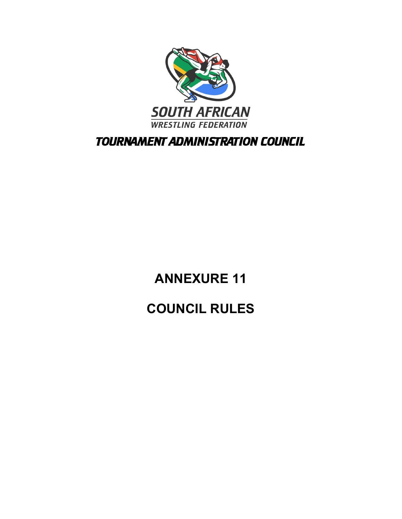

TOURNAMENT ADMINISTRATION COUNCIL

# **ANNEXURE 11 COUNCIL RULES**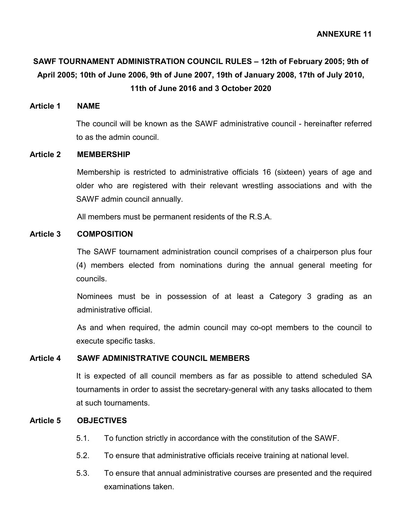## **SAWF TOURNAMENT ADMINISTRATION COUNCIL RULES – 12th of February 2005; 9th of April 2005; 10th of June 2006, 9th of June 2007, 19th of January 2008, 17th of July 2010, 11th of June 2016 and 3 October 2020**

### **Article 1 NAME**

The council will be known as the SAWF administrative council - hereinafter referred to as the admin council.

### **Article 2 MEMBERSHIP**

Membership is restricted to administrative officials 16 (sixteen) years of age and older who are registered with their relevant wrestling associations and with the SAWF admin council annually.

All members must be permanent residents of the R.S.A.

### **Article 3 COMPOSITION**

The SAWF tournament administration council comprises of a chairperson plus four (4) members elected from nominations during the annual general meeting for councils.

Nominees must be in possession of at least a Category 3 grading as an administrative official.

As and when required, the admin council may co-opt members to the council to execute specific tasks.

#### **Article 4 SAWF ADMINISTRATIVE COUNCIL MEMBERS**

It is expected of all council members as far as possible to attend scheduled SA tournaments in order to assist the secretary-general with any tasks allocated to them at such tournaments.

### **Article 5 OBJECTIVES**

- 5.1. To function strictly in accordance with the constitution of the SAWF.
- 5.2. To ensure that administrative officials receive training at national level.
- 5.3. To ensure that annual administrative courses are presented and the required examinations taken.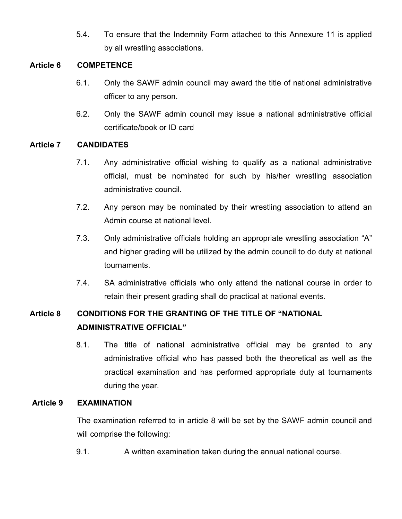5.4. To ensure that the Indemnity Form attached to this Annexure 11 is applied by all wrestling associations.

### **Article 6 COMPETENCE**

- 6.1. Only the SAWF admin council may award the title of national administrative officer to any person.
- 6.2. Only the SAWF admin council may issue a national administrative official certificate/book or ID card

### **Article 7 CANDIDATES**

- 7.1. Any administrative official wishing to qualify as a national administrative official, must be nominated for such by his/her wrestling association administrative council.
- 7.2. Any person may be nominated by their wrestling association to attend an Admin course at national level.
- 7.3. Only administrative officials holding an appropriate wrestling association "A" and higher grading will be utilized by the admin council to do duty at national tournaments.
- 7.4. SA administrative officials who only attend the national course in order to retain their present grading shall do practical at national events.

## **Article 8 CONDITIONS FOR THE GRANTING OF THE TITLE OF "NATIONAL ADMINISTRATIVE OFFICIAL"**

8.1. The title of national administrative official may be granted to any administrative official who has passed both the theoretical as well as the practical examination and has performed appropriate duty at tournaments during the year.

### **Article 9 EXAMINATION**

The examination referred to in article 8 will be set by the SAWF admin council and will comprise the following:

9.1. A written examination taken during the annual national course.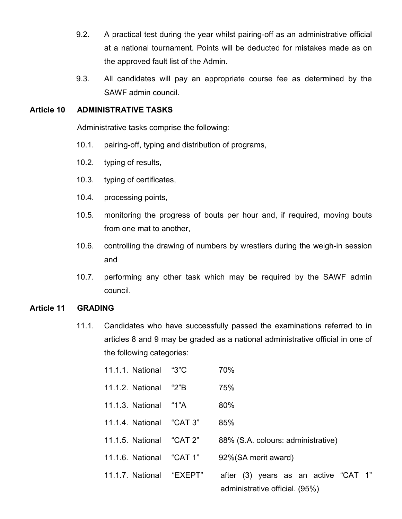- 9.2. A practical test during the year whilst pairing-off as an administrative official at a national tournament. Points will be deducted for mistakes made as on the approved fault list of the Admin.
- 9.3. All candidates will pay an appropriate course fee as determined by the SAWF admin council.

### **Article 10 ADMINISTRATIVE TASKS**

Administrative tasks comprise the following:

- 10.1. pairing-off, typing and distribution of programs,
- 10.2. typing of results,
- 10.3. typing of certificates,
- 10.4. processing points,
- 10.5. monitoring the progress of bouts per hour and, if required, moving bouts from one mat to another,
- 10.6. controlling the drawing of numbers by wrestlers during the weigh-in session and
- 10.7. performing any other task which may be required by the SAWF admin council.

### **Article 11 GRADING**

11.1. Candidates who have successfully passed the examinations referred to in articles 8 and 9 may be graded as a national administrative official in one of the following categories:

| 11.1.1. National | "3"C | 70% |
|------------------|------|-----|
|                  |      |     |

- 11.1.2. National "2"B 75%
- 11.1.3. National "1"A 80%
- 11.1.4. National "CAT 3" 85%
- 11.1.5. National "CAT 2" 88% (S.A. colours: administrative)
- 11.1.6. National "CAT 1" 92%(SA merit award)
- 11.1.7. National "EXEPT" after (3) years as an active "CAT 1" administrative official. (95%)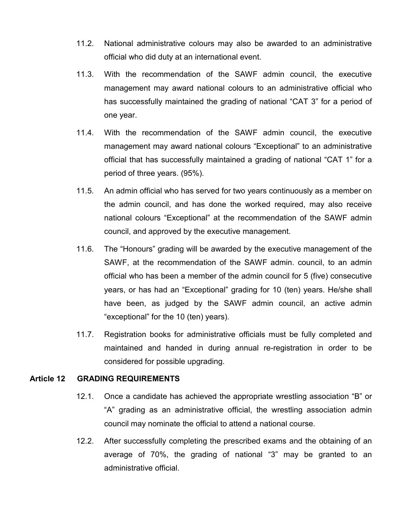- 11.2. National administrative colours may also be awarded to an administrative official who did duty at an international event.
- 11.3. With the recommendation of the SAWF admin council, the executive management may award national colours to an administrative official who has successfully maintained the grading of national "CAT 3" for a period of one year.
- 11.4. With the recommendation of the SAWF admin council, the executive management may award national colours "Exceptional" to an administrative official that has successfully maintained a grading of national "CAT 1" for a period of three years. (95%).
- 11.5. An admin official who has served for two years continuously as a member on the admin council, and has done the worked required, may also receive national colours "Exceptional" at the recommendation of the SAWF admin council, and approved by the executive management.
- 11.6. The "Honours" grading will be awarded by the executive management of the SAWF, at the recommendation of the SAWF admin. council, to an admin official who has been a member of the admin council for 5 (five) consecutive years, or has had an "Exceptional" grading for 10 (ten) years. He/she shall have been, as judged by the SAWF admin council, an active admin "exceptional" for the 10 (ten) years).
- 11.7. Registration books for administrative officials must be fully completed and maintained and handed in during annual re-registration in order to be considered for possible upgrading.

### **Article 12 GRADING REQUIREMENTS**

- 12.1. Once a candidate has achieved the appropriate wrestling association "B" or "A" grading as an administrative official, the wrestling association admin council may nominate the official to attend a national course.
- 12.2. After successfully completing the prescribed exams and the obtaining of an average of 70%, the grading of national "3" may be granted to an administrative official.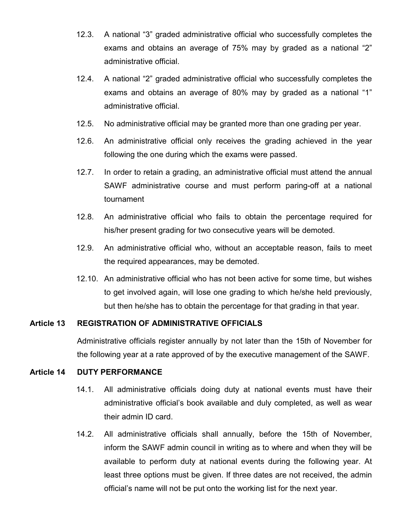- 12.3. A national "3" graded administrative official who successfully completes the exams and obtains an average of 75% may by graded as a national "2" administrative official.
- 12.4. A national "2" graded administrative official who successfully completes the exams and obtains an average of 80% may by graded as a national "1" administrative official.
- 12.5. No administrative official may be granted more than one grading per year.
- 12.6. An administrative official only receives the grading achieved in the year following the one during which the exams were passed.
- 12.7. In order to retain a grading, an administrative official must attend the annual SAWF administrative course and must perform paring-off at a national tournament
- 12.8. An administrative official who fails to obtain the percentage required for his/her present grading for two consecutive years will be demoted.
- 12.9. An administrative official who, without an acceptable reason, fails to meet the required appearances, may be demoted.
- 12.10. An administrative official who has not been active for some time, but wishes to get involved again, will lose one grading to which he/she held previously, but then he/she has to obtain the percentage for that grading in that year.

### **Article 13 REGISTRATION OF ADMINISTRATIVE OFFICIALS**

Administrative officials register annually by not later than the 15th of November for the following year at a rate approved of by the executive management of the SAWF.

### **Article 14 DUTY PERFORMANCE**

- 14.1. All administrative officials doing duty at national events must have their administrative official's book available and duly completed, as well as wear their admin ID card.
- 14.2. All administrative officials shall annually, before the 15th of November, inform the SAWF admin council in writing as to where and when they will be available to perform duty at national events during the following year. At least three options must be given. If three dates are not received, the admin official's name will not be put onto the working list for the next year.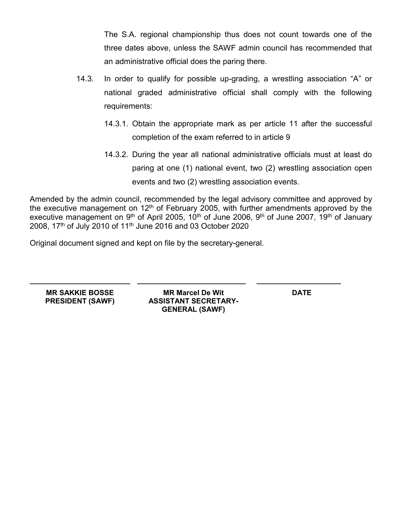The S.A. regional championship thus does not count towards one of the three dates above, unless the SAWF admin council has recommended that an administrative official does the paring there.

- 14.3. In order to qualify for possible up-grading, a wrestling association "A" or national graded administrative official shall comply with the following requirements:
	- 14.3.1. Obtain the appropriate mark as per article 11 after the successful completion of the exam referred to in article 9
	- 14.3.2. During the year all national administrative officials must at least do paring at one (1) national event, two (2) wrestling association open events and two (2) wrestling association events.

Amended by the admin council, recommended by the legal advisory committee and approved by the executive management on  $12<sup>th</sup>$  of February 2005, with further amendments approved by the executive management on 9<sup>th</sup> of April 2005, 10<sup>th</sup> of June 2006, 9<sup>th</sup> of June 2007, 19<sup>th</sup> of January 2008, 17<sup>th</sup> of July 2010 of 11<sup>th</sup> June 2016 and 03 October 2020

Original document signed and kept on file by the secretary-general.

**MR SAKKIE BOSSE MR Marcel De Wit DATE PRESIDENT (SAWF) ASSISTANT SECRETARY-GENERAL (SAWF)**

**\_\_\_\_\_\_\_\_\_\_\_\_\_\_\_\_\_\_\_\_\_\_\_\_\_ \_\_\_\_\_\_\_\_\_\_\_\_\_\_\_\_\_\_\_\_\_\_\_\_\_\_\_ \_\_\_\_\_\_\_\_\_\_\_\_\_\_\_\_\_\_\_\_\_**